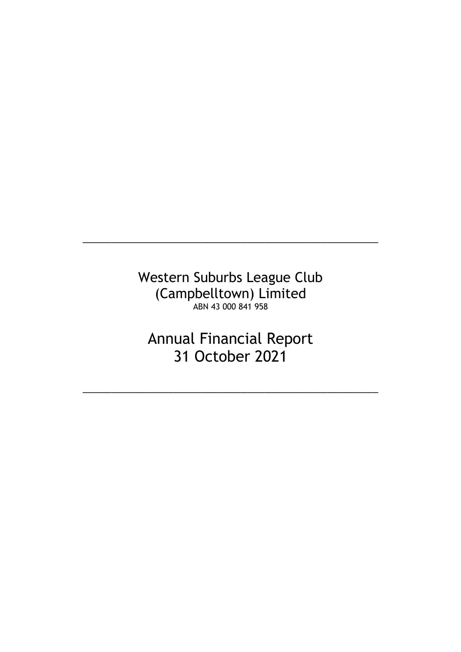Western Suburbs League Club (Campbelltown) Limited ABN 43 000 841 958

\_\_\_\_\_\_\_\_\_\_\_\_\_\_\_\_\_\_\_\_\_\_\_\_\_\_\_\_\_\_\_\_\_\_\_\_\_\_\_\_\_\_\_\_\_\_\_\_\_\_\_\_

Annual Financial Report 31 October 2021

\_\_\_\_\_\_\_\_\_\_\_\_\_\_\_\_\_\_\_\_\_\_\_\_\_\_\_\_\_\_\_\_\_\_\_\_\_\_\_\_\_\_\_\_\_\_\_\_\_\_\_\_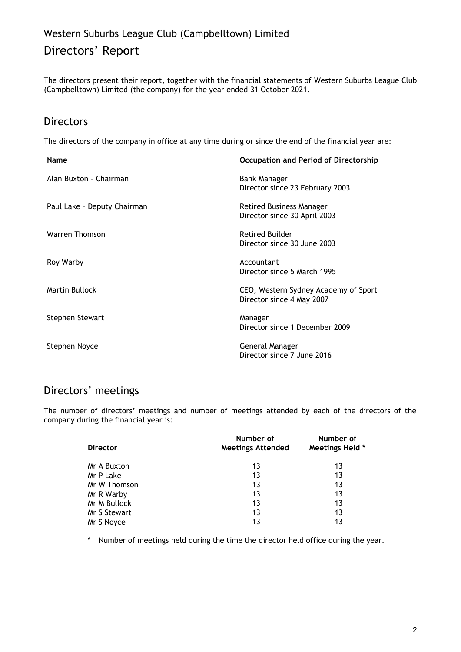# Western Suburbs League Club (Campbelltown) Limited Directors' Report

The directors present their report, together with the financial statements of Western Suburbs League Club (Campbelltown) Limited (the company) for the year ended 31 October 2021.

# **Directors**

The directors of the company in office at any time during or since the end of the financial year are:

| <b>Name</b>                 | Occupation and Period of Directorship                             |
|-----------------------------|-------------------------------------------------------------------|
| Alan Buxton - Chairman      | <b>Bank Manager</b><br>Director since 23 February 2003            |
| Paul Lake - Deputy Chairman | <b>Retired Business Manager</b><br>Director since 30 April 2003   |
| Warren Thomson              | <b>Retired Builder</b><br>Director since 30 June 2003             |
| Roy Warby                   | Accountant<br>Director since 5 March 1995                         |
| Martin Bullock              | CEO, Western Sydney Academy of Sport<br>Director since 4 May 2007 |
| Stephen Stewart             | Manager<br>Director since 1 December 2009                         |
| Stephen Noyce               | General Manager<br>Director since 7 June 2016                     |

## Directors' meetings

The number of directors' meetings and number of meetings attended by each of the directors of the company during the financial year is:

| <b>Director</b> | Number of<br><b>Meetings Attended</b> | Number of<br>Meetings Held * |  |
|-----------------|---------------------------------------|------------------------------|--|
| Mr A Buxton     | 13                                    | 13                           |  |
| Mr P Lake       | 13                                    | 13                           |  |
| Mr W Thomson    | 13                                    | 13                           |  |
| Mr R Warby      | 13                                    | 13                           |  |
| Mr M Bullock    | 13                                    | 13                           |  |
| Mr S Stewart    | 13                                    | 13                           |  |
| Mr S Noyce      | 13                                    | 13                           |  |

\* Number of meetings held during the time the director held office during the year.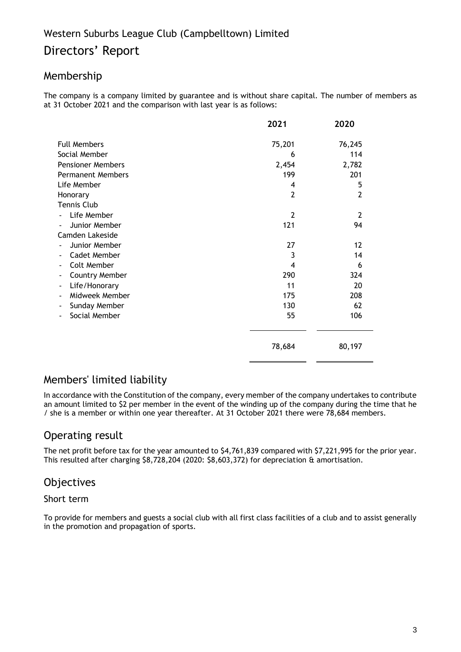# Western Suburbs League Club (Campbelltown) Limited Directors' Report

# Membership

The company is a company limited by guarantee and is without share capital. The number of members as at 31 October 2021 and the comparison with last year is as follows:

|                                            | 2021           | 2020           |
|--------------------------------------------|----------------|----------------|
| <b>Full Members</b>                        | 75,201         | 76,245         |
| Social Member                              | 6              | 114            |
| <b>Pensioner Members</b>                   | 2,454          | 2,782          |
| <b>Permanent Members</b>                   | 199            | 201            |
| Life Member                                | 4              | 5              |
| Honorary                                   | $\overline{2}$ | $\overline{2}$ |
| <b>Tennis Club</b>                         |                |                |
| Life Member<br>$\blacksquare$              | $\overline{2}$ | $\overline{2}$ |
| Junior Member                              | 121            | 94             |
| Camden Lakeside                            |                |                |
| Junior Member                              | 27             | 12             |
| Cadet Member<br>$\blacksquare$             | 3              | 14             |
| Colt Member<br>$\overline{\phantom{a}}$    | 4              | 6              |
| Country Member<br>$\overline{\phantom{a}}$ | 290            | 324            |
| Life/Honorary<br>$\overline{\phantom{a}}$  | 11             | 20             |
| Midweek Member<br>$\overline{\phantom{a}}$ | 175            | 208            |
| Sunday Member<br>$\overline{\phantom{a}}$  | 130            | 62             |
| Social Member<br>٠                         | 55             | 106            |
|                                            | 78,684         | 80,197         |

# Members' limited liability

In accordance with the Constitution of the company, every member of the company undertakes to contribute an amount limited to \$2 per member in the event of the winding up of the company during the time that he / she is a member or within one year thereafter. At 31 October 2021 there were 78,684 members.

# Operating result

The net profit before tax for the year amounted to \$4,761,839 compared with \$7,221,995 for the prior year. This resulted after charging \$8,728,204 (2020: \$8,603,372) for depreciation & amortisation.

# **Objectives**

## Short term

To provide for members and guests a social club with all first class facilities of a club and to assist generally in the promotion and propagation of sports.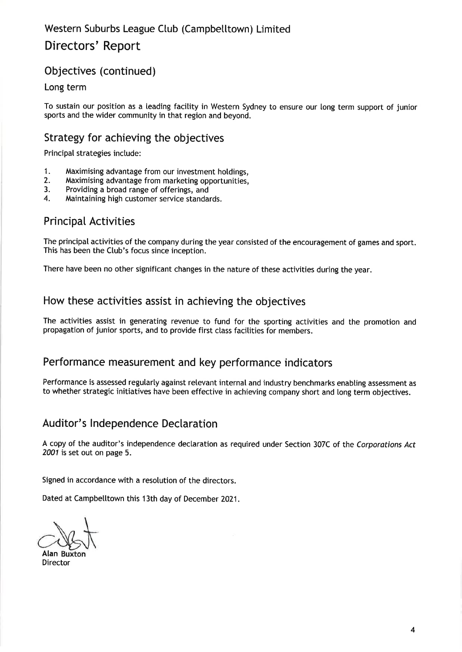# Western Suburbs League Club (Campbelltown) Limited

# Directors' Report

# Objectives (continued)

## Long term

To sustain our position as a leading facility in Western Sydney to ensure our long term support of junior sports and the wider community in that region and beyond.

# Strategy for achieving the objectives

Principal strategies include:

- $\mathbf 1$ . Maximising advantage from our investment holdings,
- $2.$ Maximising advantage from marketing opportunities.
- Providing a broad range of offerings, and  $\overline{3}$ .
- $\overline{4}$ . Maintaining high customer service standards.

# **Principal Activities**

The principal activities of the company during the year consisted of the encouragement of games and sport. This has been the Club's focus since inception.

There have been no other significant changes in the nature of these activities during the year.

# How these activities assist in achieving the objectives

The activities assist in generating revenue to fund for the sporting activities and the promotion and propagation of junior sports, and to provide first class facilities for members.

# Performance measurement and key performance indicators

Performance is assessed regularly against relevant internal and industry benchmarks enabling assessment as to whether strategic initiatives have been effective in achieving company short and long term objectives.

# Auditor's Independence Declaration

A copy of the auditor's independence declaration as required under Section 307C of the Corporations Act 2001 is set out on page 5.

Signed in accordance with a resolution of the directors.

Dated at Campbelltown this 13th day of December 2021.

**Alan Buxton** Director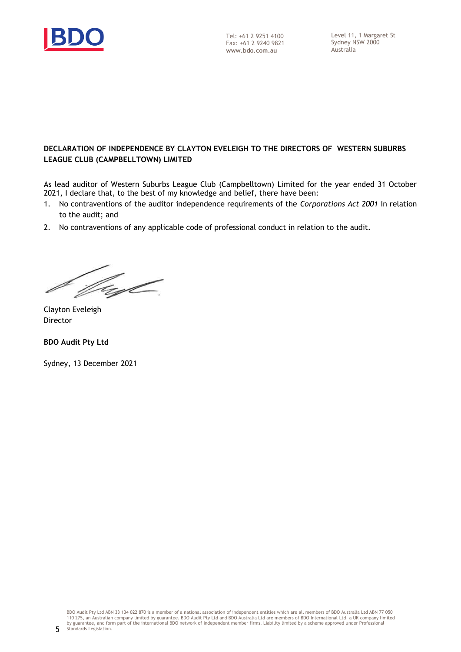

## **DECLARATION OF INDEPENDENCE BY CLAYTON EVELEIGH TO THE DIRECTORS OF WESTERN SUBURBS LEAGUE CLUB (CAMPBELLTOWN) LIMITED**

As lead auditor of Western Suburbs League Club (Campbelltown) Limited for the year ended 31 October 2021, I declare that, to the best of my knowledge and belief, there have been:

- 1. No contraventions of the auditor independence requirements of the *Corporations Act 2001* in relation to the audit; and
- 2. No contraventions of any applicable code of professional conduct in relation to the audit.

1 Vayt

Clayton Eveleigh Director

**BDO Audit Pty Ltd**

Sydney, 13 December 2021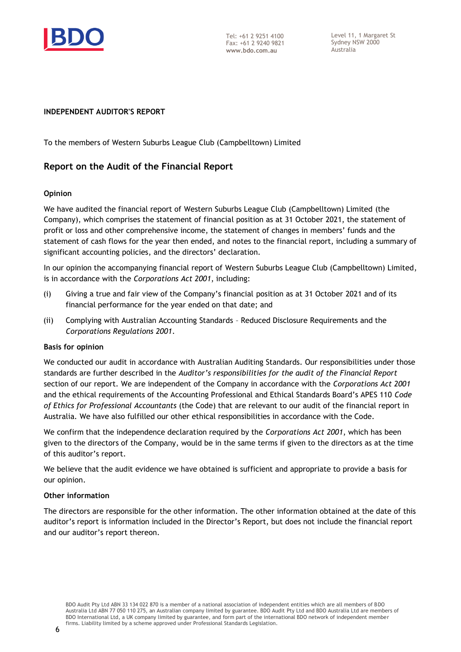

Level 11, 1 Margaret St Sydney NSW 2000 Australia

### **INDEPENDENT AUDITOR'S REPORT**

To the members of Western Suburbs League Club (Campbelltown) Limited

## **Report on the Audit of the Financial Report**

#### **Opinion**

We have audited the financial report of Western Suburbs League Club (Campbelltown) Limited (the Company), which comprises the statement of financial position as at 31 October 2021, the statement of profit or loss and other comprehensive income, the statement of changes in members' funds and the statement of cash flows for the year then ended, and notes to the financial report, including a summary of significant accounting policies, and the directors' declaration.

In our opinion the accompanying financial report of Western Suburbs League Club (Campbelltown) Limited, is in accordance with the *Corporations Act 2001*, including:

- (i) Giving a true and fair view of the Company's financial position as at 31 October 2021 and of its financial performance for the year ended on that date; and
- (ii) Complying with Australian Accounting Standards Reduced Disclosure Requirements and the *Corporations Regulations 2001*.

#### **Basis for opinion**

We conducted our audit in accordance with Australian Auditing Standards. Our responsibilities under those standards are further described in the *Auditor's responsibilities for the audit of the Financial Report* section of our report. We are independent of the Company in accordance with the *Corporations Act 2001*  and the ethical requirements of the Accounting Professional and Ethical Standards Board's APES 110 *Code of Ethics for Professional Accountants* (the Code) that are relevant to our audit of the financial report in Australia. We have also fulfilled our other ethical responsibilities in accordance with the Code.

We confirm that the independence declaration required by the *Corporations Act 2001*, which has been given to the directors of the Company, would be in the same terms if given to the directors as at the time of this auditor's report.

We believe that the audit evidence we have obtained is sufficient and appropriate to provide a basis for our opinion.

#### **Other information**

The directors are responsible for the other information. The other information obtained at the date of this auditor's report is information included in the Director's Report, but does not include the financial report and our auditor's report thereon.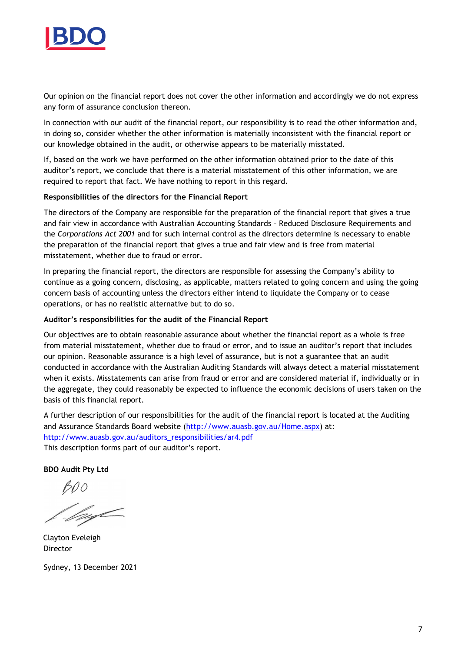

Our opinion on the financial report does not cover the other information and accordingly we do not express any form of assurance conclusion thereon.

In connection with our audit of the financial report, our responsibility is to read the other information and, in doing so, consider whether the other information is materially inconsistent with the financial report or our knowledge obtained in the audit, or otherwise appears to be materially misstated.

If, based on the work we have performed on the other information obtained prior to the date of this auditor's report, we conclude that there is a material misstatement of this other information, we are required to report that fact. We have nothing to report in this regard.

### **Responsibilities of the directors for the Financial Report**

The directors of the Company are responsible for the preparation of the financial report that gives a true and fair view in accordance with Australian Accounting Standards – Reduced Disclosure Requirements and the *Corporations Act 2001* and for such internal control as the directors determine is necessary to enable the preparation of the financial report that gives a true and fair view and is free from material misstatement, whether due to fraud or error.

In preparing the financial report, the directors are responsible for assessing the Company's ability to continue as a going concern, disclosing, as applicable, matters related to going concern and using the going concern basis of accounting unless the directors either intend to liquidate the Company or to cease operations, or has no realistic alternative but to do so.

### **Auditor's responsibilities for the audit of the Financial Report**

Our objectives are to obtain reasonable assurance about whether the financial report as a whole is free from material misstatement, whether due to fraud or error, and to issue an auditor's report that includes our opinion. Reasonable assurance is a high level of assurance, but is not a guarantee that an audit conducted in accordance with the Australian Auditing Standards will always detect a material misstatement when it exists. Misstatements can arise from fraud or error and are considered material if, individually or in the aggregate, they could reasonably be expected to influence the economic decisions of users taken on the basis of this financial report.

A further description of our responsibilities for the audit of the financial report is located at the Auditing and Assurance Standards Board website [\(http://www.auasb.gov.au/Home.aspx\)](http://www.auasb.gov.au/Home.aspx) at: [http://www.auasb.gov.au/auditors\\_responsibilities/ar4.pdf](http://www.auasb.gov.au/auditors_responsibilities/ar4.pdf)

This description forms part of our auditor's report.

**BDO Audit Pty Ltd**

Clayton Eveleigh Director

Sydney, 13 December 2021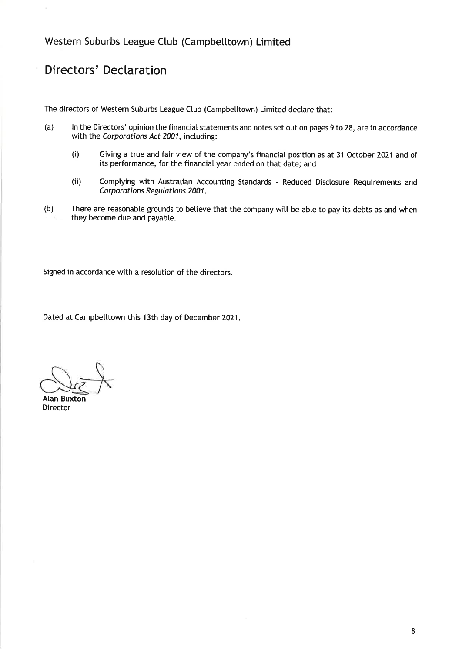# Directors' Declaration

The directors of Western Suburbs League Club (Campbelltown) Limited declare that:

- In the Directors' opinion the financial statements and notes set out on pages 9 to 28, are in accordance  $(a)$ with the Corporations Act 2001, including:
	- $(i)$ Giving a true and fair view of the company's financial position as at 31 October 2021 and of its performance, for the financial year ended on that date; and
	- $(ii)$ Complying with Australian Accounting Standards - Reduced Disclosure Requirements and Corporations Regulations 2001.
- $(b)$ There are reasonable grounds to believe that the company will be able to pay its debts as and when they become due and payable.

Signed in accordance with a resolution of the directors.

Dated at Campbelltown this 13th day of December 2021.

**Alan Buxton** Director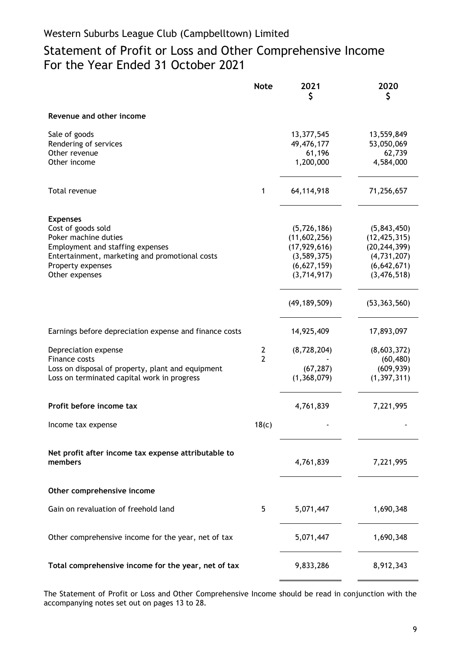# Western Suburbs League Club (Campbelltown) Limited

# Statement of Profit or Loss and Other Comprehensive Income For the Year Ended 31 October 2021

|                                                                                                                                                                                            | <b>Note</b>                      | 2021<br>\$                                                                                                   | 2020<br>\$                                                                                                     |
|--------------------------------------------------------------------------------------------------------------------------------------------------------------------------------------------|----------------------------------|--------------------------------------------------------------------------------------------------------------|----------------------------------------------------------------------------------------------------------------|
| Revenue and other income                                                                                                                                                                   |                                  |                                                                                                              |                                                                                                                |
| Sale of goods<br>Rendering of services<br>Other revenue<br>Other income                                                                                                                    |                                  | 13,377,545<br>49, 476, 177<br>61,196<br>1,200,000                                                            | 13,559,849<br>53,050,069<br>62,739<br>4,584,000                                                                |
| Total revenue                                                                                                                                                                              | 1                                | 64, 114, 918                                                                                                 | 71,256,657                                                                                                     |
| <b>Expenses</b><br>Cost of goods sold<br>Poker machine duties<br>Employment and staffing expenses<br>Entertainment, marketing and promotional costs<br>Property expenses<br>Other expenses |                                  | (5,726,186)<br>(11,602,256)<br>(17, 929, 616)<br>(3,589,375)<br>(6,627,159)<br>(3,714,917)<br>(49, 189, 509) | (5,843,450)<br>(12, 425, 315)<br>(20, 244, 399)<br>(4,731,207)<br>(6,642,671)<br>(3,476,518)<br>(53, 363, 560) |
| Earnings before depreciation expense and finance costs                                                                                                                                     |                                  | 14,925,409                                                                                                   | 17,893,097                                                                                                     |
| Depreciation expense<br>Finance costs<br>Loss on disposal of property, plant and equipment<br>Loss on terminated capital work in progress                                                  | $\overline{2}$<br>$\overline{2}$ | (8,728,204)<br>(67, 287)<br>(1,368,079)                                                                      | (8,603,372)<br>(60, 480)<br>(609, 939)<br>(1, 397, 311)                                                        |
| Profit before income tax                                                                                                                                                                   |                                  | 4,761,839                                                                                                    | 7,221,995                                                                                                      |
| Income tax expense                                                                                                                                                                         | 18(c)                            |                                                                                                              |                                                                                                                |
| Net profit after income tax expense attributable to<br>members                                                                                                                             |                                  | 4,761,839                                                                                                    | 7,221,995                                                                                                      |
| Other comprehensive income                                                                                                                                                                 |                                  |                                                                                                              |                                                                                                                |
| Gain on revaluation of freehold land                                                                                                                                                       | 5                                | 5,071,447                                                                                                    | 1,690,348                                                                                                      |
| Other comprehensive income for the year, net of tax                                                                                                                                        |                                  | 5,071,447                                                                                                    | 1,690,348                                                                                                      |
| Total comprehensive income for the year, net of tax                                                                                                                                        |                                  | 9,833,286                                                                                                    | 8,912,343                                                                                                      |

The Statement of Profit or Loss and Other Comprehensive Income should be read in conjunction with the accompanying notes set out on pages 13 to 28.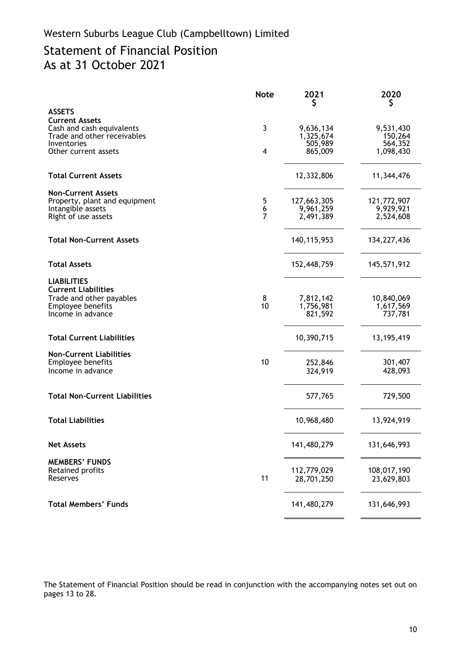# Western Suburbs League Club (Campbelltown) Limited

# Statement of Financial Position As at 31 October 2021

|                                                          | <b>Note</b>   | 2021<br>Ş                 | 2020<br>Ş                 |
|----------------------------------------------------------|---------------|---------------------------|---------------------------|
| <b>ASSETS</b>                                            |               |                           |                           |
| <b>Current Assets</b>                                    |               |                           |                           |
| Cash and cash equivalents<br>Trade and other receivables | 3             | 9,636,134<br>1,325,674    | 9,531,430<br>150,264      |
| Inventories                                              |               | 505,989                   | 564,352                   |
| Other current assets                                     | 4             | 865,009                   | 1,098,430                 |
| <b>Total Current Assets</b>                              |               | 12,332,806                | 11,344,476                |
| <b>Non-Current Assets</b>                                |               |                           |                           |
| Property, plant and equipment                            | 5             | 127,663,305               | 121,772,907               |
| Intangible assets<br>Right of use assets                 | $\frac{6}{7}$ | 9,961,259<br>2,491,389    | 9,929,921<br>2,524,608    |
| <b>Total Non-Current Assets</b>                          |               | 140,115,953               | 134,227,436               |
| <b>Total Assets</b>                                      |               | 152,448,759               | 145,571,912               |
| <b>LIABILITIES</b>                                       |               |                           |                           |
| <b>Current Liabilities</b>                               |               |                           |                           |
| Trade and other payables<br><b>Employee benefits</b>     | 8<br>10       | 7,812,142<br>1,756,981    | 10,840,069<br>1,617,569   |
| Income in advance                                        |               | 821,592                   | 737,781                   |
| <b>Total Current Liabilities</b>                         |               | 10,390,715                | 13, 195, 419              |
| <b>Non-Current Liabilities</b>                           |               |                           |                           |
| <b>Employee benefits</b>                                 | 10            | 252,846                   | 301,407                   |
| Income in advance                                        |               | 324,919                   | 428,093                   |
| <b>Total Non-Current Liabilities</b>                     |               | 577,765                   | 729,500                   |
| <b>Total Liabilities</b>                                 |               | 10,968,480                | 13,924,919                |
| <b>Net Assets</b>                                        |               | 141,480,279               | 131,646,993               |
| <b>MEMBERS' FUNDS</b>                                    |               |                           |                           |
| Retained profits<br>Reserves                             | 11            | 112,779,029<br>28,701,250 | 108,017,190<br>23,629,803 |
| <b>Total Members' Funds</b>                              |               | 141,480,279               | 131,646,993               |
|                                                          |               |                           |                           |

The Statement of Financial Position should be read in conjunction with the accompanying notes set out on pages 13 to 28.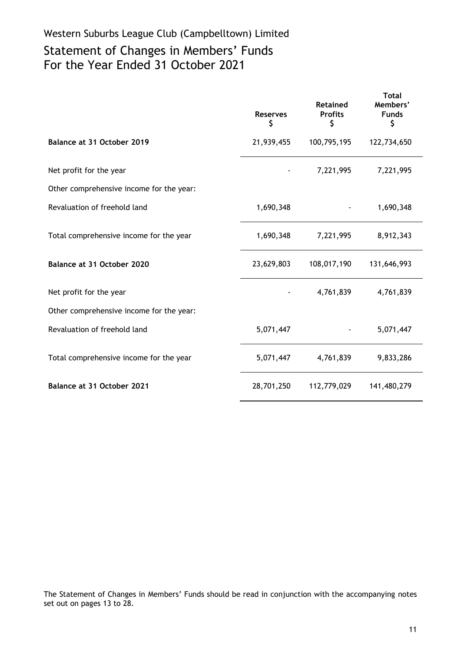# Western Suburbs League Club (Campbelltown) Limited Statement of Changes in Members' Funds For the Year Ended 31 October 2021

|                                          | <b>Reserves</b><br>\$ | <b>Retained</b><br><b>Profits</b><br>\$ | <b>Total</b><br>Members'<br><b>Funds</b><br>\$ |
|------------------------------------------|-----------------------|-----------------------------------------|------------------------------------------------|
| Balance at 31 October 2019               | 21,939,455            | 100,795,195                             | 122,734,650                                    |
| Net profit for the year                  |                       | 7,221,995                               | 7,221,995                                      |
| Other comprehensive income for the year: |                       |                                         |                                                |
| Revaluation of freehold land             | 1,690,348             |                                         | 1,690,348                                      |
| Total comprehensive income for the year  | 1,690,348             | 7,221,995                               | 8,912,343                                      |
| Balance at 31 October 2020               | 23,629,803            | 108,017,190                             | 131,646,993                                    |
| Net profit for the year                  |                       | 4,761,839                               | 4,761,839                                      |
| Other comprehensive income for the year: |                       |                                         |                                                |
| Revaluation of freehold land             | 5,071,447             |                                         | 5,071,447                                      |
| Total comprehensive income for the year  | 5,071,447             | 4,761,839                               | 9,833,286                                      |
| Balance at 31 October 2021               | 28,701,250            | 112,779,029                             | 141,480,279                                    |

The Statement of Changes in Members' Funds should be read in conjunction with the accompanying notes set out on pages 13 to 28.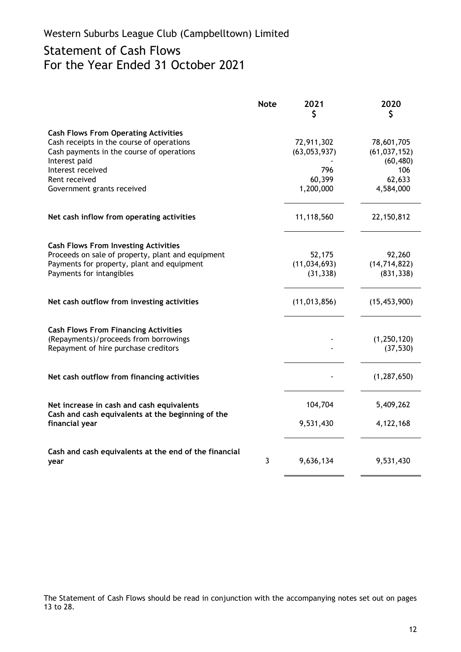# Western Suburbs League Club (Campbelltown) Limited

# Statement of Cash Flows For the Year Ended 31 October 2021

|                                                                                                                                                                                                                            | <b>Note</b> | 2021<br>S                                                | 2020<br>\$                                                              |
|----------------------------------------------------------------------------------------------------------------------------------------------------------------------------------------------------------------------------|-------------|----------------------------------------------------------|-------------------------------------------------------------------------|
| <b>Cash Flows From Operating Activities</b><br>Cash receipts in the course of operations<br>Cash payments in the course of operations<br>Interest paid<br>Interest received<br>Rent received<br>Government grants received |             | 72,911,302<br>(63,053,937)<br>796<br>60,399<br>1,200,000 | 78,601,705<br>(61, 037, 152)<br>(60, 480)<br>106<br>62,633<br>4,584,000 |
| Net cash inflow from operating activities                                                                                                                                                                                  |             | 11,118,560                                               | 22,150,812                                                              |
| <b>Cash Flows From Investing Activities</b><br>Proceeds on sale of property, plant and equipment<br>Payments for property, plant and equipment<br>Payments for intangibles                                                 |             | 52,175<br>(11, 034, 693)<br>(31, 338)                    | 92,260<br>(14, 714, 822)<br>(831, 338)                                  |
| Net cash outflow from investing activities                                                                                                                                                                                 |             | (11, 013, 856)                                           | (15, 453, 900)                                                          |
| <b>Cash Flows From Financing Activities</b><br>(Repayments)/proceeds from borrowings<br>Repayment of hire purchase creditors                                                                                               |             |                                                          | (1, 250, 120)<br>(37, 530)                                              |
| Net cash outflow from financing activities                                                                                                                                                                                 |             |                                                          | (1, 287, 650)                                                           |
| Net increase in cash and cash equivalents<br>Cash and cash equivalents at the beginning of the<br>financial year                                                                                                           |             | 104,704<br>9,531,430                                     | 5,409,262<br>4, 122, 168                                                |
| Cash and cash equivalents at the end of the financial<br>year                                                                                                                                                              | 3           | 9,636,134                                                | 9,531,430                                                               |

The Statement of Cash Flows should be read in conjunction with the accompanying notes set out on pages 13 to 28.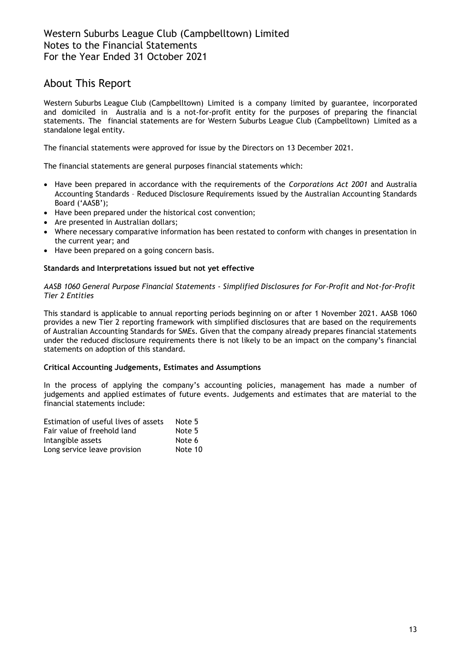# About This Report

Western Suburbs League Club (Campbelltown) Limited is a company limited by guarantee, incorporated and domiciled in Australia and is a not-for-profit entity for the purposes of preparing the financial statements. The financial statements are for Western Suburbs League Club (Campbelltown) Limited as a standalone legal entity.

The financial statements were approved for issue by the Directors on 13 December 2021.

The financial statements are general purposes financial statements which:

- Have been prepared in accordance with the requirements of the *Corporations Act 2001* and Australia Accounting Standards – Reduced Disclosure Requirements issued by the Australian Accounting Standards Board ('AASB');
- Have been prepared under the historical cost convention;
- Are presented in Australian dollars;
- Where necessary comparative information has been restated to conform with changes in presentation in the current year; and
- Have been prepared on a going concern basis.

### **Standards and Interpretations issued but not yet effective**

*AASB 1060 General Purpose Financial Statements - Simplified Disclosures for For-Profit and Not-for-Profit Tier 2 Entities*

This standard is applicable to annual reporting periods beginning on or after 1 November 2021. AASB 1060 provides a new Tier 2 reporting framework with simplified disclosures that are based on the requirements of Australian Accounting Standards for SMEs. Given that the company already prepares financial statements under the reduced disclosure requirements there is not likely to be an impact on the company's financial statements on adoption of this standard.

### **Critical Accounting Judgements, Estimates and Assumptions**

In the process of applying the company's accounting policies, management has made a number of judgements and applied estimates of future events. Judgements and estimates that are material to the financial statements include:

| Estimation of useful lives of assets | Note 5  |
|--------------------------------------|---------|
| Fair value of freehold land          | Note 5  |
| Intangible assets                    | Note 6  |
| Long service leave provision         | Note 10 |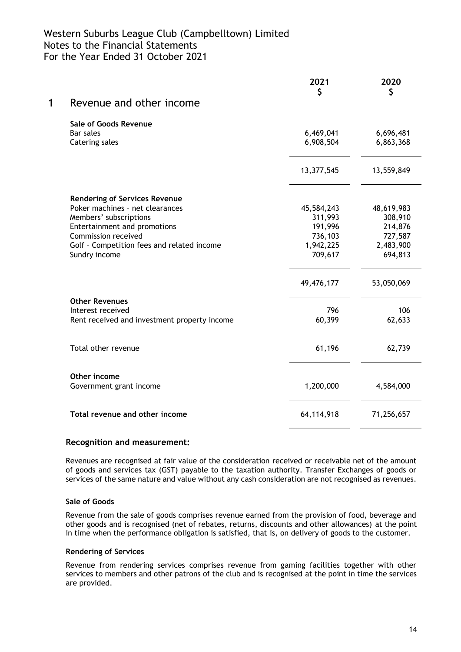|   |                                              | 2021<br>\$   | 2020<br>\$ |
|---|----------------------------------------------|--------------|------------|
| 1 | Revenue and other income                     |              |            |
|   | <b>Sale of Goods Revenue</b>                 |              |            |
|   | Bar sales                                    | 6,469,041    | 6,696,481  |
|   | Catering sales                               | 6,908,504    | 6,863,368  |
|   |                                              | 13,377,545   | 13,559,849 |
|   | <b>Rendering of Services Revenue</b>         |              |            |
|   | Poker machines - net clearances              | 45,584,243   | 48,619,983 |
|   | Members' subscriptions                       | 311,993      | 308,910    |
|   | Entertainment and promotions                 | 191,996      | 214,876    |
|   | Commission received                          | 736,103      | 727,587    |
|   | Golf - Competition fees and related income   | 1,942,225    | 2,483,900  |
|   | Sundry income                                | 709,617      | 694,813    |
|   |                                              | 49,476,177   | 53,050,069 |
|   | <b>Other Revenues</b><br>Interest received   | 796          | 106        |
|   | Rent received and investment property income | 60,399       | 62,633     |
|   | Total other revenue                          | 61,196       | 62,739     |
|   | Other income                                 |              |            |
|   | Government grant income                      | 1,200,000    | 4,584,000  |
|   | Total revenue and other income               | 64, 114, 918 | 71,256,657 |
|   |                                              |              |            |

### **Recognition and measurement:**

Revenues are recognised at fair value of the consideration received or receivable net of the amount of goods and services tax (GST) payable to the taxation authority. Transfer Exchanges of goods or services of the same nature and value without any cash consideration are not recognised as revenues.

### **Sale of Goods**

Revenue from the sale of goods comprises revenue earned from the provision of food, beverage and other goods and is recognised (net of rebates, returns, discounts and other allowances) at the point in time when the performance obligation is satisfied, that is, on delivery of goods to the customer.

### **Rendering of Services**

Revenue from rendering services comprises revenue from gaming facilities together with other services to members and other patrons of the club and is recognised at the point in time the services are provided.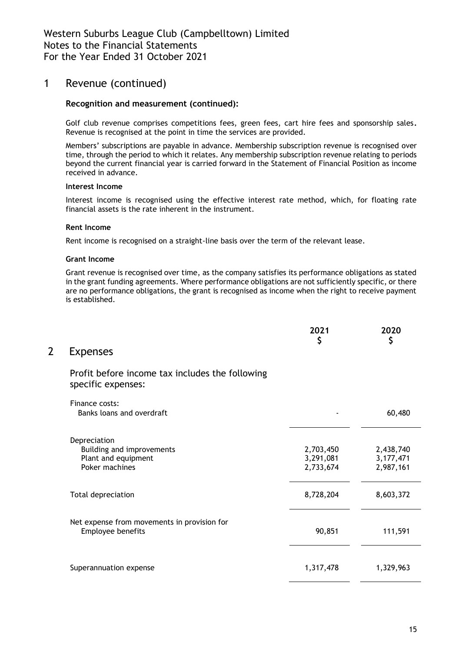## 1 Revenue (continued)

### **Recognition and measurement (continued):**

Golf club revenue comprises competitions fees, green fees, cart hire fees and sponsorship sales**.**  Revenue is recognised at the point in time the services are provided.

Members' subscriptions are payable in advance. Membership subscription revenue is recognised over time, through the period to which it relates. Any membership subscription revenue relating to periods beyond the current financial year is carried forward in the Statement of Financial Position as income received in advance.

#### **Interest Income**

Interest income is recognised using the effective interest rate method, which, for floating rate financial assets is the rate inherent in the instrument.

#### **Rent Income**

Rent income is recognised on a straight-line basis over the term of the relevant lease.

#### **Grant Income**

Grant revenue is recognised over time, as the company satisfies its performance obligations as stated in the grant funding agreements. Where performance obligations are not sufficiently specific, or there are no performance obligations, the grant is recognised as income when the right to receive payment is established.

|   |                                                                                    | 2021<br>\$                          | 2020<br>\$                            |
|---|------------------------------------------------------------------------------------|-------------------------------------|---------------------------------------|
| 2 | <b>Expenses</b>                                                                    |                                     |                                       |
|   | Profit before income tax includes the following<br>specific expenses:              |                                     |                                       |
|   | Finance costs:<br>Banks loans and overdraft                                        |                                     | 60,480                                |
|   | Depreciation<br>Building and improvements<br>Plant and equipment<br>Poker machines | 2,703,450<br>3,291,081<br>2,733,674 | 2,438,740<br>3, 177, 471<br>2,987,161 |
|   | Total depreciation                                                                 | 8,728,204                           | 8,603,372                             |
|   | Net expense from movements in provision for<br>Employee benefits                   | 90,851                              | 111,591                               |
|   | Superannuation expense                                                             | 1,317,478                           | 1,329,963                             |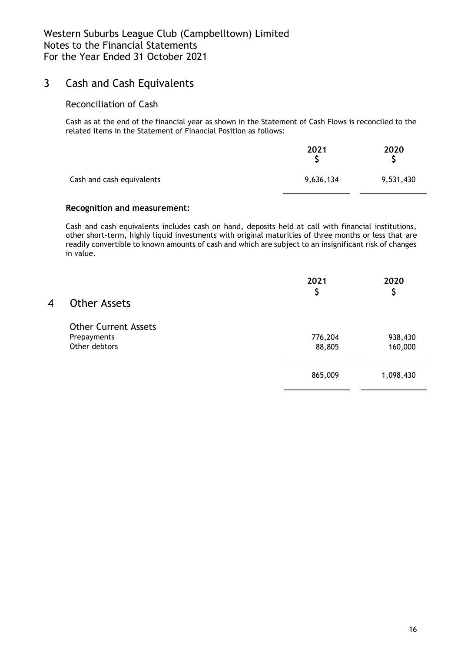# 3 Cash and Cash Equivalents

## Reconciliation of Cash

Cash as at the end of the financial year as shown in the Statement of Cash Flows is reconciled to the related items in the Statement of Financial Position as follows:

|                           | 2021      | 2020      |
|---------------------------|-----------|-----------|
| Cash and cash equivalents | 9,636,134 | 9,531,430 |

## **Recognition and measurement:**

Cash and cash equivalents includes cash on hand, deposits held at call with financial institutions, other short-term, highly liquid investments with original maturities of three months or less that are readily convertible to known amounts of cash and which are subject to an insignificant risk of changes in value.

| 4 | <b>Other Assets</b>                                         | 2021<br>\$        | 2020<br>\$         |
|---|-------------------------------------------------------------|-------------------|--------------------|
|   | <b>Other Current Assets</b><br>Prepayments<br>Other debtors | 776,204<br>88,805 | 938,430<br>160,000 |
|   |                                                             | 865,009           | 1,098,430          |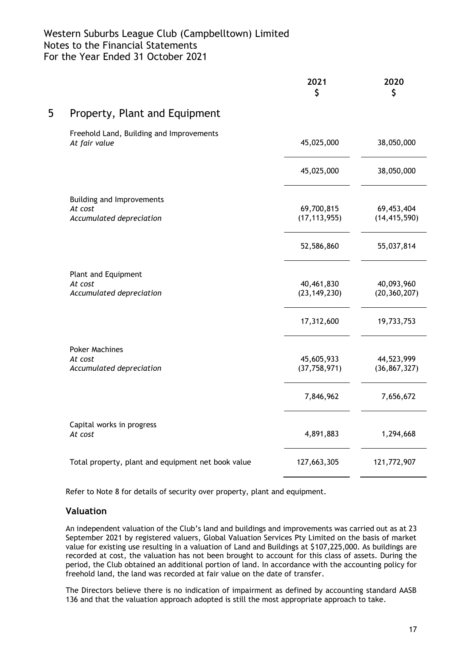|   |                                                                  | 2021<br>\$                   | 2020<br>\$                   |
|---|------------------------------------------------------------------|------------------------------|------------------------------|
| 5 | Property, Plant and Equipment                                    |                              |                              |
|   | Freehold Land, Building and Improvements<br>At fair value        | 45,025,000                   | 38,050,000                   |
|   |                                                                  | 45,025,000                   | 38,050,000                   |
|   | Building and Improvements<br>At cost<br>Accumulated depreciation | 69,700,815<br>(17, 113, 955) | 69,453,404<br>(14, 415, 590) |
|   |                                                                  | 52,586,860                   | 55,037,814                   |
|   | Plant and Equipment<br>At cost<br>Accumulated depreciation       | 40,461,830<br>(23, 149, 230) | 40,093,960<br>(20, 360, 207) |
|   |                                                                  | 17,312,600                   | 19,733,753                   |
|   | <b>Poker Machines</b><br>At cost<br>Accumulated depreciation     | 45,605,933<br>(37, 758, 971) | 44,523,999<br>(36, 867, 327) |
|   |                                                                  | 7,846,962                    | 7,656,672                    |
|   | Capital works in progress<br>At cost                             | 4,891,883                    | 1,294,668                    |
|   | Total property, plant and equipment net book value               | 127,663,305                  | 121,772,907                  |

Refer to Note 8 for details of security over property, plant and equipment.

## **Valuation**

An independent valuation of the Club's land and buildings and improvements was carried out as at 23 September 2021 by registered valuers, Global Valuation Services Pty Limited on the basis of market value for existing use resulting in a valuation of Land and Buildings at \$107,225,000. As buildings are recorded at cost, the valuation has not been brought to account for this class of assets. During the period, the Club obtained an additional portion of land. In accordance with the accounting policy for freehold land, the land was recorded at fair value on the date of transfer.

The Directors believe there is no indication of impairment as defined by accounting standard AASB 136 and that the valuation approach adopted is still the most appropriate approach to take.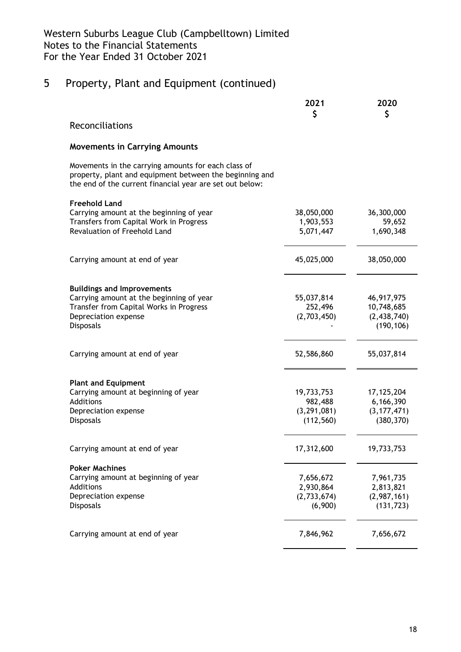# 5 Property, Plant and Equipment (continued)

|                                                                                                                                                                            | 2021<br>\$                                           | 2020<br>\$                                               |
|----------------------------------------------------------------------------------------------------------------------------------------------------------------------------|------------------------------------------------------|----------------------------------------------------------|
| Reconciliations                                                                                                                                                            |                                                      |                                                          |
| <b>Movements in Carrying Amounts</b>                                                                                                                                       |                                                      |                                                          |
| Movements in the carrying amounts for each class of<br>property, plant and equipment between the beginning and<br>the end of the current financial year are set out below: |                                                      |                                                          |
| <b>Freehold Land</b><br>Carrying amount at the beginning of year<br>Transfers from Capital Work in Progress<br><b>Revaluation of Freehold Land</b>                         | 38,050,000<br>1,903,553<br>5,071,447                 | 36,300,000<br>59,652<br>1,690,348                        |
| Carrying amount at end of year                                                                                                                                             | 45,025,000                                           | 38,050,000                                               |
| <b>Buildings and Improvements</b><br>Carrying amount at the beginning of year<br>Transfer from Capital Works in Progress<br>Depreciation expense<br><b>Disposals</b>       | 55,037,814<br>252,496<br>(2,703,450)                 | 46,917,975<br>10,748,685<br>(2,438,740)<br>(190, 106)    |
| Carrying amount at end of year                                                                                                                                             | 52,586,860                                           | 55,037,814                                               |
| <b>Plant and Equipment</b><br>Carrying amount at beginning of year<br>Additions<br>Depreciation expense<br><b>Disposals</b>                                                | 19,733,753<br>982,488<br>(3, 291, 081)<br>(112, 560) | 17, 125, 204<br>6,166,390<br>(3, 177, 471)<br>(380, 370) |
| Carrying amount at end of year                                                                                                                                             | 17,312,600                                           | 19,733,753                                               |
| <b>Poker Machines</b><br>Carrying amount at beginning of year<br>Additions<br>Depreciation expense<br><b>Disposals</b>                                                     | 7,656,672<br>2,930,864<br>(2,733,674)<br>(6,900)     | 7,961,735<br>2,813,821<br>(2,987,161)<br>(131, 723)      |
| Carrying amount at end of year                                                                                                                                             | 7,846,962                                            | 7,656,672                                                |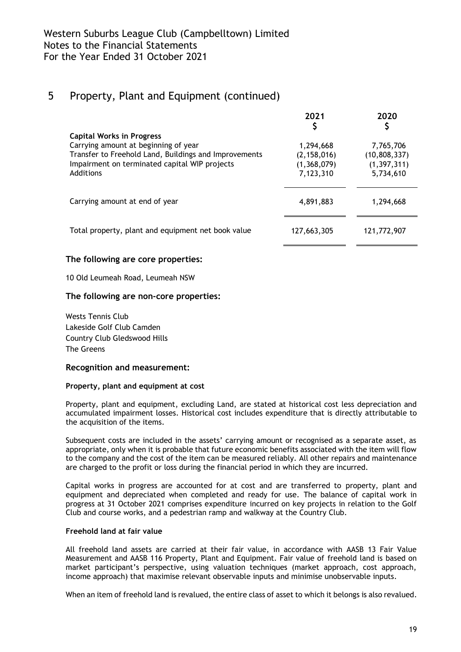# 5 Property, Plant and Equipment (continued)

|                                                                                               | 2021                       | 2020                      |
|-----------------------------------------------------------------------------------------------|----------------------------|---------------------------|
| <b>Capital Works in Progress</b>                                                              |                            |                           |
| Carrying amount at beginning of year<br>Transfer to Freehold Land, Buildings and Improvements | 1,294,668<br>(2, 158, 016) | 7,765,706<br>(10,808,337) |
| Impairment on terminated capital WIP projects                                                 | (1,368,079)                | (1, 397, 311)             |
| Additions                                                                                     | 7,123,310                  | 5,734,610                 |
|                                                                                               |                            |                           |
| Carrying amount at end of year                                                                | 4,891,883                  | 1,294,668                 |
|                                                                                               |                            |                           |
| Total property, plant and equipment net book value                                            | 127,663,305                | 121,772,907               |

## **The following are core properties:**

10 Old Leumeah Road, Leumeah NSW

### **The following are non-core properties:**

Wests Tennis Club Lakeside Golf Club Camden Country Club Gledswood Hills The Greens

### **Recognition and measurement:**

### **Property, plant and equipment at cost**

Property, plant and equipment, excluding Land, are stated at historical cost less depreciation and accumulated impairment losses. Historical cost includes expenditure that is directly attributable to the acquisition of the items.

Subsequent costs are included in the assets' carrying amount or recognised as a separate asset, as appropriate, only when it is probable that future economic benefits associated with the item will flow to the company and the cost of the item can be measured reliably. All other repairs and maintenance are charged to the profit or loss during the financial period in which they are incurred.

Capital works in progress are accounted for at cost and are transferred to property, plant and equipment and depreciated when completed and ready for use. The balance of capital work in progress at 31 October 2021 comprises expenditure incurred on key projects in relation to the Golf Club and course works, and a pedestrian ramp and walkway at the Country Club.

### **Freehold land at fair value**

All freehold land assets are carried at their fair value, in accordance with AASB 13 Fair Value Measurement and AASB 116 Property, Plant and Equipment. Fair value of freehold land is based on market participant's perspective, using valuation techniques (market approach, cost approach, income approach) that maximise relevant observable inputs and minimise unobservable inputs.

When an item of freehold land is revalued, the entire class of asset to which it belongs is also revalued.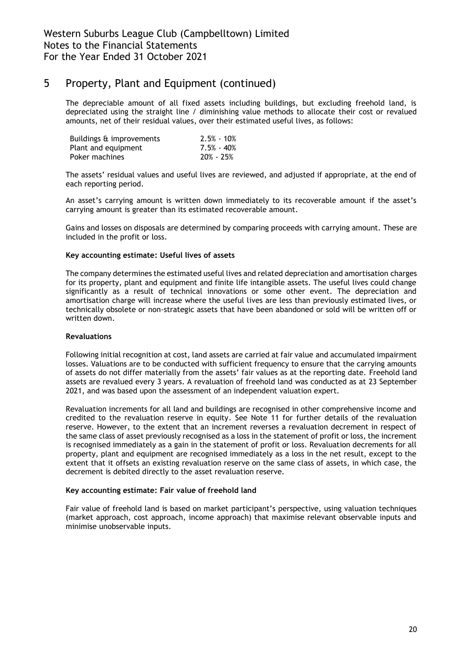# 5 Property, Plant and Equipment (continued)

The depreciable amount of all fixed assets including buildings, but excluding freehold land, is depreciated using the straight line / diminishing value methods to allocate their cost or revalued amounts, net of their residual values, over their estimated useful lives, as follows:

| Buildings & improvements | $2.5\%$ - 10 $\%$ |
|--------------------------|-------------------|
| Plant and equipment      | 7.5% - 40%        |
| Poker machines           | $20\% - 25\%$     |

The assets' residual values and useful lives are reviewed, and adjusted if appropriate, at the end of each reporting period.

An asset's carrying amount is written down immediately to its recoverable amount if the asset's carrying amount is greater than its estimated recoverable amount.

Gains and losses on disposals are determined by comparing proceeds with carrying amount. These are included in the profit or loss.

### **Key accounting estimate: Useful lives of assets**

The company determines the estimated useful lives and related depreciation and amortisation charges for its property, plant and equipment and finite life intangible assets. The useful lives could change significantly as a result of technical innovations or some other event. The depreciation and amortisation charge will increase where the useful lives are less than previously estimated lives, or technically obsolete or non-strategic assets that have been abandoned or sold will be written off or written down.

### **Revaluations**

Following initial recognition at cost, land assets are carried at fair value and accumulated impairment losses. Valuations are to be conducted with sufficient frequency to ensure that the carrying amounts of assets do not differ materially from the assets' fair values as at the reporting date. Freehold land assets are revalued every 3 years. A revaluation of freehold land was conducted as at 23 September 2021, and was based upon the assessment of an independent valuation expert.

Revaluation increments for all land and buildings are recognised in other comprehensive income and credited to the revaluation reserve in equity. See Note 11 for further details of the revaluation reserve. However, to the extent that an increment reverses a revaluation decrement in respect of the same class of asset previously recognised as a loss in the statement of profit or loss, the increment is recognised immediately as a gain in the statement of profit or loss. Revaluation decrements for all property, plant and equipment are recognised immediately as a loss in the net result, except to the extent that it offsets an existing revaluation reserve on the same class of assets, in which case, the decrement is debited directly to the asset revaluation reserve.

#### **Key accounting estimate: Fair value of freehold land**

Fair value of freehold land is based on market participant's perspective, using valuation techniques (market approach, cost approach, income approach) that maximise relevant observable inputs and minimise unobservable inputs.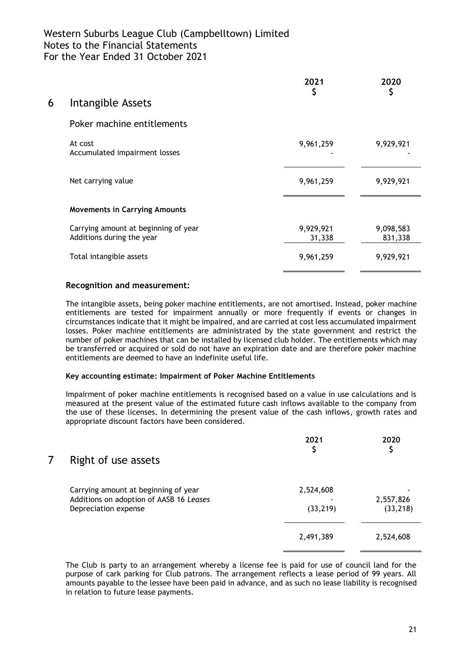|   |                                                                   | 2021<br>Ş           | 2020<br>\$           |
|---|-------------------------------------------------------------------|---------------------|----------------------|
| 6 | Intangible Assets                                                 |                     |                      |
|   | Poker machine entitlements                                        |                     |                      |
|   | At cost<br>Accumulated impairment losses                          | 9,961,259           | 9,929,921            |
|   | Net carrying value                                                | 9,961,259           | 9,929,921            |
|   | <b>Movements in Carrying Amounts</b>                              |                     |                      |
|   | Carrying amount at beginning of year<br>Additions during the year | 9,929,921<br>31,338 | 9,098,583<br>831,338 |
|   | Total intangible assets                                           | 9,961,259           | 9,929,921            |

## **Recognition and measurement:**

The intangible assets, being poker machine entitlements, are not amortised. Instead, poker machine entitlements are tested for impairment annually or more frequently if events or changes in circumstances indicate that it might be impaired, and are carried at cost less accumulated impairment losses. Poker machine entitlements are administrated by the state government and restrict the number of poker machines that can be installed by licensed club holder. The entitlements which may be transferred or acquired or sold do not have an expiration date and are therefore poker machine entitlements are deemed to have an indefinite useful life.

### **Key accounting estimate: Impairment of Poker Machine Entitlements**

Impairment of poker machine entitlements is recognised based on a value in use calculations and is measured at the present value of the estimated future cash inflows available to the company from the use of these licenses. In determining the present value of the cash inflows, growth rates and appropriate discount factors have been considered.

| Right of use assets                                                                                     | 2021                   | 2020                   |
|---------------------------------------------------------------------------------------------------------|------------------------|------------------------|
| Carrying amount at beginning of year<br>Additions on adoption of AASB 16 Leases<br>Depreciation expense | 2,524,608<br>(33, 219) | 2,557,826<br>(33, 218) |
|                                                                                                         | 2,491,389              | 2,524,608              |

The Club is party to an arrangement whereby a license fee is paid for use of council land for the purpose of cark parking for Club patrons. The arrangement reflects a lease period of 99 years. All amounts payable to the lessee have been paid in advance, and as such no lease liability is recognised in relation to future lease payments.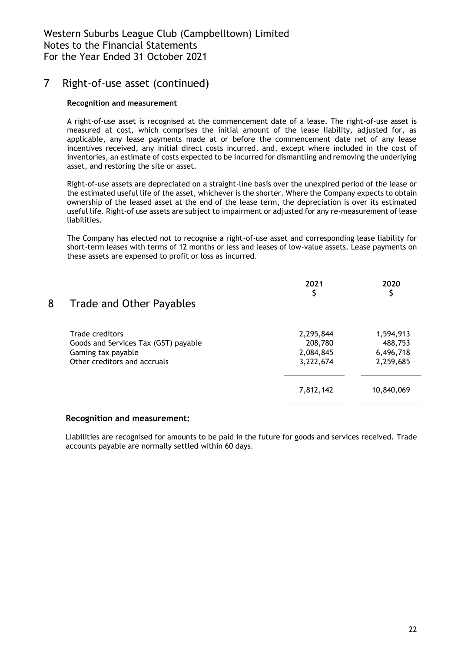# 7 Right-of-use asset (continued)

### **Recognition and measurement**

A right-of-use asset is recognised at the commencement date of a lease. The right-of-use asset is measured at cost, which comprises the initial amount of the lease liability, adjusted for, as applicable, any lease payments made at or before the commencement date net of any lease incentives received, any initial direct costs incurred, and, except where included in the cost of inventories, an estimate of costs expected to be incurred for dismantling and removing the underlying asset, and restoring the site or asset.

Right-of-use assets are depreciated on a straight-line basis over the unexpired period of the lease or the estimated useful life of the asset, whichever is the shorter. Where the Company expects to obtain ownership of the leased asset at the end of the lease term, the depreciation is over its estimated useful life. Right-of use assets are subject to impairment or adjusted for any re-measurement of lease liabilities.

The Company has elected not to recognise a right-of-use asset and corresponding lease liability for short-term leases with terms of 12 months or less and leases of low-value assets. Lease payments on these assets are expensed to profit or loss as incurred.

| 8 | Trade and Other Payables                                                                                      | 2021                                           | 2020                                           |
|---|---------------------------------------------------------------------------------------------------------------|------------------------------------------------|------------------------------------------------|
|   | Trade creditors<br>Goods and Services Tax (GST) payable<br>Gaming tax payable<br>Other creditors and accruals | 2,295,844<br>208,780<br>2,084,845<br>3,222,674 | 1,594,913<br>488,753<br>6,496,718<br>2,259,685 |
|   |                                                                                                               | 7,812,142                                      | 10,840,069                                     |

### **Recognition and measurement:**

Liabilities are recognised for amounts to be paid in the future for goods and services received. Trade accounts payable are normally settled within 60 days.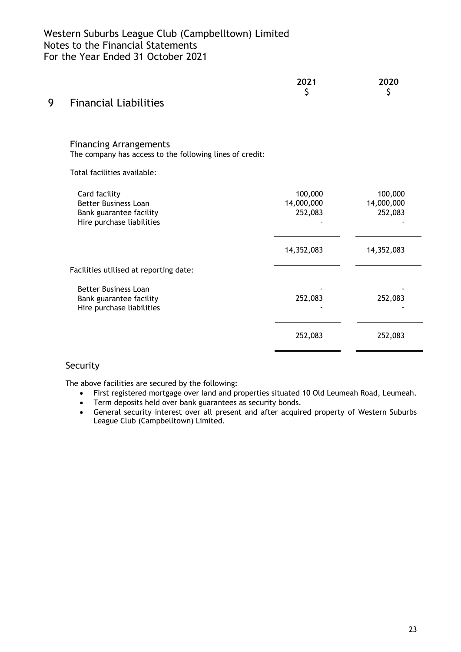|                         | 2021 | 2020 |
|-------------------------|------|------|
|                         |      |      |
| 9 Financial Liabilities |      |      |

## Financing Arrangements

The company has access to the following lines of credit:

Total facilities available:

| Card facility<br>Better Business Loan<br>Bank guarantee facility<br>Hire purchase liabilities | 100,000<br>14,000,000<br>252,083 | 100,000<br>14,000,000<br>252,083 |
|-----------------------------------------------------------------------------------------------|----------------------------------|----------------------------------|
|                                                                                               | 14,352,083                       | 14,352,083                       |
| Facilities utilised at reporting date:                                                        |                                  |                                  |
| <b>Better Business Loan</b><br>Bank guarantee facility<br>Hire purchase liabilities           | 252,083                          | 252,083                          |
|                                                                                               | 252,083                          | 252,083                          |

## Security

The above facilities are secured by the following:

- First registered mortgage over land and properties situated 10 Old Leumeah Road, Leumeah.
- Term deposits held over bank guarantees as security bonds.
- General security interest over all present and after acquired property of Western Suburbs League Club (Campbelltown) Limited.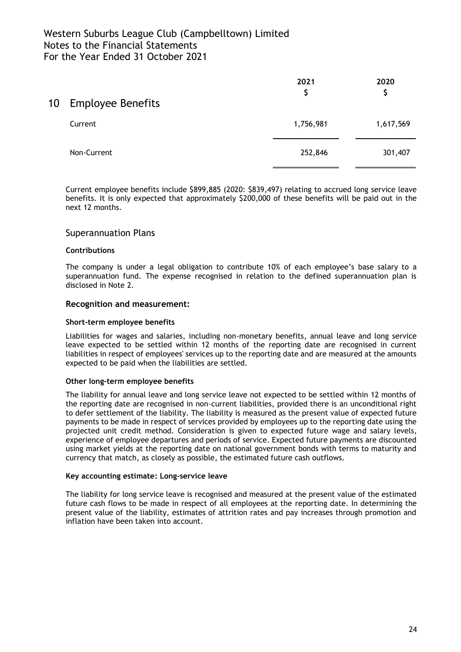| 10 | <b>Employee Benefits</b> | 2021<br>\$ | 2020      |
|----|--------------------------|------------|-----------|
|    | Current                  | 1,756,981  | 1,617,569 |
|    | Non-Current              | 252,846    | 301,407   |

Current employee benefits include \$899,885 (2020: \$839,497) relating to accrued long service leave benefits. It is only expected that approximately \$200,000 of these benefits will be paid out in the next 12 months.

## Superannuation Plans

#### **Contributions**

The company is under a legal obligation to contribute 10% of each employee's base salary to a superannuation fund. The expense recognised in relation to the defined superannuation plan is disclosed in Note 2.

#### **Recognition and measurement:**

#### **Short-term employee benefits**

Liabilities for wages and salaries, including non-monetary benefits, annual leave and long service leave expected to be settled within 12 months of the reporting date are recognised in current liabilities in respect of employees' services up to the reporting date and are measured at the amounts expected to be paid when the liabilities are settled.

#### **Other long-term employee benefits**

The liability for annual leave and long service leave not expected to be settled within 12 months of the reporting date are recognised in non-current liabilities, provided there is an unconditional right to defer settlement of the liability. The liability is measured as the present value of expected future payments to be made in respect of services provided by employees up to the reporting date using the projected unit credit method. Consideration is given to expected future wage and salary levels, experience of employee departures and periods of service. Expected future payments are discounted using market yields at the reporting date on national government bonds with terms to maturity and currency that match, as closely as possible, the estimated future cash outflows.

#### **Key accounting estimate: Long-service leave**

The liability for long service leave is recognised and measured at the present value of the estimated future cash flows to be made in respect of all employees at the reporting date. In determining the present value of the liability, estimates of attrition rates and pay increases through promotion and inflation have been taken into account.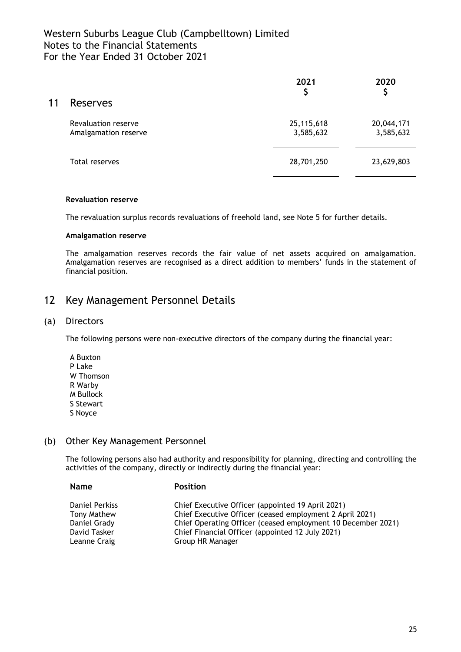| 11 | <b>Reserves</b>                             | 2021<br>Ş               | 2020                    |
|----|---------------------------------------------|-------------------------|-------------------------|
|    | Revaluation reserve<br>Amalgamation reserve | 25,115,618<br>3,585,632 | 20,044,171<br>3,585,632 |
|    | Total reserves                              | 28,701,250              | 23,629,803              |

### **Revaluation reserve**

The revaluation surplus records revaluations of freehold land, see Note 5 for further details.

#### **Amalgamation reserve**

The amalgamation reserves records the fair value of net assets acquired on amalgamation. Amalgamation reserves are recognised as a direct addition to members' funds in the statement of financial position.

## 12 Key Management Personnel Details

### (a) Directors

The following persons were non-executive directors of the company during the financial year:

A Buxton P Lake W Thomson R Warby M Bullock S Stewart S Noyce

### (b) Other Key Management Personnel

The following persons also had authority and responsibility for planning, directing and controlling the activities of the company, directly or indirectly during the financial year:

| <b>Name</b>           | <b>Position</b>                                              |
|-----------------------|--------------------------------------------------------------|
| <b>Daniel Perkiss</b> | Chief Executive Officer (appointed 19 April 2021)            |
| Tony Mathew           | Chief Executive Officer (ceased employment 2 April 2021)     |
| Daniel Grady          | Chief Operating Officer (ceased employment 10 December 2021) |
| David Tasker          | Chief Financial Officer (appointed 12 July 2021)             |
| Leanne Craig          | Group HR Manager                                             |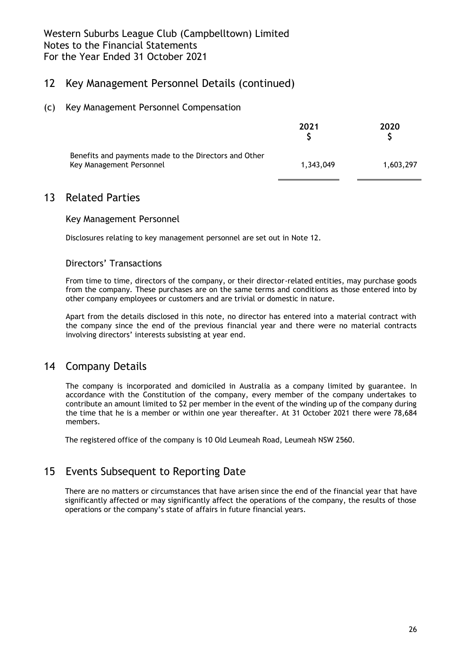## 12 Key Management Personnel Details (continued)

## (c) Key Management Personnel Compensation

|                                                                                   | 2021      | 2020      |
|-----------------------------------------------------------------------------------|-----------|-----------|
| Benefits and payments made to the Directors and Other<br>Key Management Personnel | 1,343,049 | 1,603,297 |

## 13 Related Parties

### Key Management Personnel

Disclosures relating to key management personnel are set out in Note 12.

## Directors' Transactions

From time to time, directors of the company, or their director-related entities, may purchase goods from the company. These purchases are on the same terms and conditions as those entered into by other company employees or customers and are trivial or domestic in nature.

Apart from the details disclosed in this note, no director has entered into a material contract with the company since the end of the previous financial year and there were no material contracts involving directors' interests subsisting at year end.

## 14 Company Details

The company is incorporated and domiciled in Australia as a company limited by guarantee. In accordance with the Constitution of the company, every member of the company undertakes to contribute an amount limited to \$2 per member in the event of the winding up of the company during the time that he is a member or within one year thereafter. At 31 October 2021 there were 78,684 members.

The registered office of the company is 10 Old Leumeah Road, Leumeah NSW 2560.

## 15 Events Subsequent to Reporting Date

There are no matters or circumstances that have arisen since the end of the financial year that have significantly affected or may significantly affect the operations of the company, the results of those operations or the company's state of affairs in future financial years.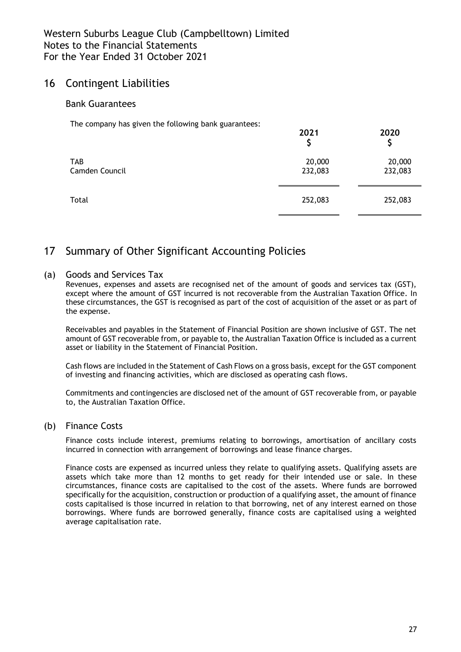## 16 Contingent Liabilities

## Bank Guarantees

The company has given the following bank guarantees:

|                              | 2021              | 2020              |
|------------------------------|-------------------|-------------------|
| <b>TAB</b><br>Camden Council | 20,000<br>232,083 | 20,000<br>232,083 |
| Total                        | 252,083           | 252,083           |

# 17 Summary of Other Significant Accounting Policies

### (a) Goods and Services Tax

Revenues, expenses and assets are recognised net of the amount of goods and services tax (GST), except where the amount of GST incurred is not recoverable from the Australian Taxation Office. In these circumstances, the GST is recognised as part of the cost of acquisition of the asset or as part of the expense.

Receivables and payables in the Statement of Financial Position are shown inclusive of GST. The net amount of GST recoverable from, or payable to, the Australian Taxation Office is included as a current asset or liability in the Statement of Financial Position.

Cash flows are included in the Statement of Cash Flows on a gross basis, except for the GST component of investing and financing activities, which are disclosed as operating cash flows.

Commitments and contingencies are disclosed net of the amount of GST recoverable from, or payable to, the Australian Taxation Office.

## (b) Finance Costs

Finance costs include interest, premiums relating to borrowings, amortisation of ancillary costs incurred in connection with arrangement of borrowings and lease finance charges.

Finance costs are expensed as incurred unless they relate to qualifying assets. Qualifying assets are assets which take more than 12 months to get ready for their intended use or sale. In these circumstances, finance costs are capitalised to the cost of the assets. Where funds are borrowed specifically for the acquisition, construction or production of a qualifying asset, the amount of finance costs capitalised is those incurred in relation to that borrowing, net of any interest earned on those borrowings. Where funds are borrowed generally, finance costs are capitalised using a weighted average capitalisation rate.